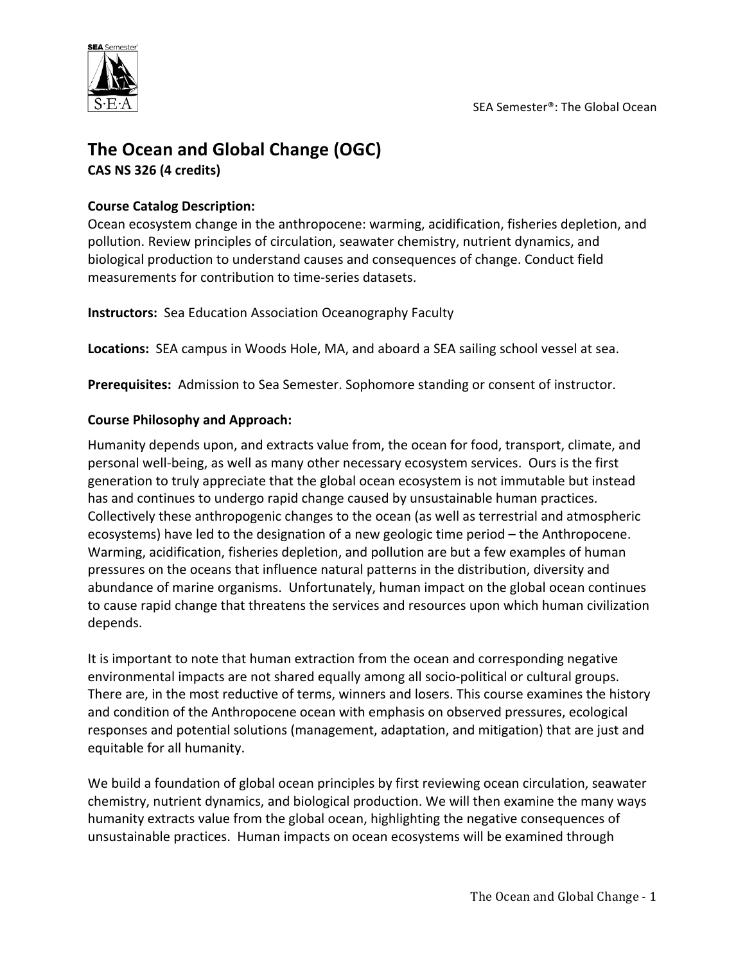

# The Ocean and Global Change (OGC) **CAS NS 326 (4 credits)**

### **Course Catalog Description:**

Ocean ecosystem change in the anthropocene: warming, acidification, fisheries depletion, and pollution. Review principles of circulation, seawater chemistry, nutrient dynamics, and biological production to understand causes and consequences of change. Conduct field measurements for contribution to time-series datasets.

**Instructors:** Sea Education Association Oceanography Faculty

**Locations:** SEA campus in Woods Hole, MA, and aboard a SEA sailing school vessel at sea.

Prerequisites: Admission to Sea Semester. Sophomore standing or consent of instructor.

### **Course Philosophy and Approach:**

Humanity depends upon, and extracts value from, the ocean for food, transport, climate, and personal well-being, as well as many other necessary ecosystem services. Ours is the first generation to truly appreciate that the global ocean ecosystem is not immutable but instead has and continues to undergo rapid change caused by unsustainable human practices. Collectively these anthropogenic changes to the ocean (as well as terrestrial and atmospheric ecosystems) have led to the designation of a new geologic time period – the Anthropocene. Warming, acidification, fisheries depletion, and pollution are but a few examples of human pressures on the oceans that influence natural patterns in the distribution, diversity and abundance of marine organisms. Unfortunately, human impact on the global ocean continues to cause rapid change that threatens the services and resources upon which human civilization depends. 

It is important to note that human extraction from the ocean and corresponding negative environmental impacts are not shared equally among all socio-political or cultural groups. There are, in the most reductive of terms, winners and losers. This course examines the history and condition of the Anthropocene ocean with emphasis on observed pressures, ecological responses and potential solutions (management, adaptation, and mitigation) that are just and equitable for all humanity.

We build a foundation of global ocean principles by first reviewing ocean circulation, seawater chemistry, nutrient dynamics, and biological production. We will then examine the many ways humanity extracts value from the global ocean, highlighting the negative consequences of unsustainable practices. Human impacts on ocean ecosystems will be examined through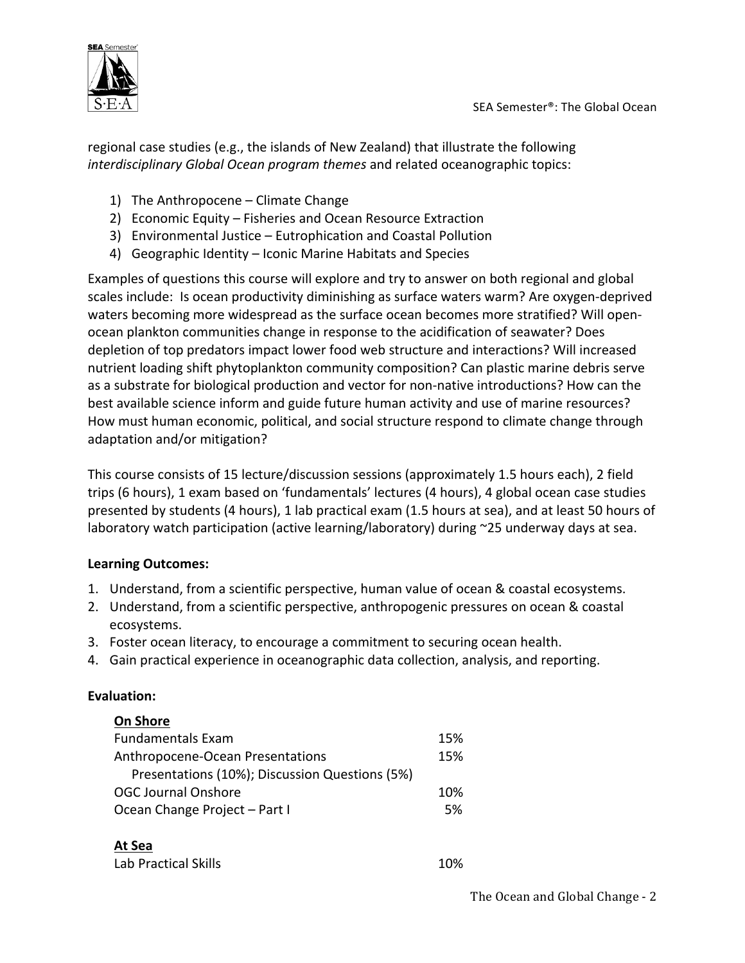

regional case studies (e.g., the islands of New Zealand) that illustrate the following *interdisciplinary Global Ocean program themes* and related oceanographic topics:

- 1) The Anthropocene Climate Change
- 2) Economic Equity Fisheries and Ocean Resource Extraction
- 3) Environmental Justice Eutrophication and Coastal Pollution
- 4) Geographic Identity Iconic Marine Habitats and Species

Examples of questions this course will explore and try to answer on both regional and global scales include: Is ocean productivity diminishing as surface waters warm? Are oxygen-deprived waters becoming more widespread as the surface ocean becomes more stratified? Will openocean plankton communities change in response to the acidification of seawater? Does depletion of top predators impact lower food web structure and interactions? Will increased nutrient loading shift phytoplankton community composition? Can plastic marine debris serve as a substrate for biological production and vector for non-native introductions? How can the best available science inform and guide future human activity and use of marine resources? How must human economic, political, and social structure respond to climate change through adaptation and/or mitigation?

This course consists of 15 lecture/discussion sessions (approximately 1.5 hours each), 2 field trips (6 hours), 1 exam based on 'fundamentals' lectures (4 hours), 4 global ocean case studies presented by students (4 hours), 1 lab practical exam (1.5 hours at sea), and at least 50 hours of laboratory watch participation (active learning/laboratory) during  $\sim$ 25 underway days at sea.

## **Learning Outcomes:**

- 1. Understand, from a scientific perspective, human value of ocean & coastal ecosystems.
- 2. Understand, from a scientific perspective, anthropogenic pressures on ocean & coastal ecosystems.
- 3. Foster ocean literacy, to encourage a commitment to securing ocean health.
- 4. Gain practical experience in oceanographic data collection, analysis, and reporting.

#### **Evaluation:**

| <b>On Shore</b>                                |     |
|------------------------------------------------|-----|
| <b>Fundamentals Exam</b>                       | 15% |
| Anthropocene-Ocean Presentations               | 15% |
| Presentations (10%); Discussion Questions (5%) |     |
| <b>OGC Journal Onshore</b>                     | 10% |
| Ocean Change Project - Part I                  | 5%  |
|                                                |     |
| At Sea                                         |     |

| Lab Practical Skills | 10% |
|----------------------|-----|
|----------------------|-----|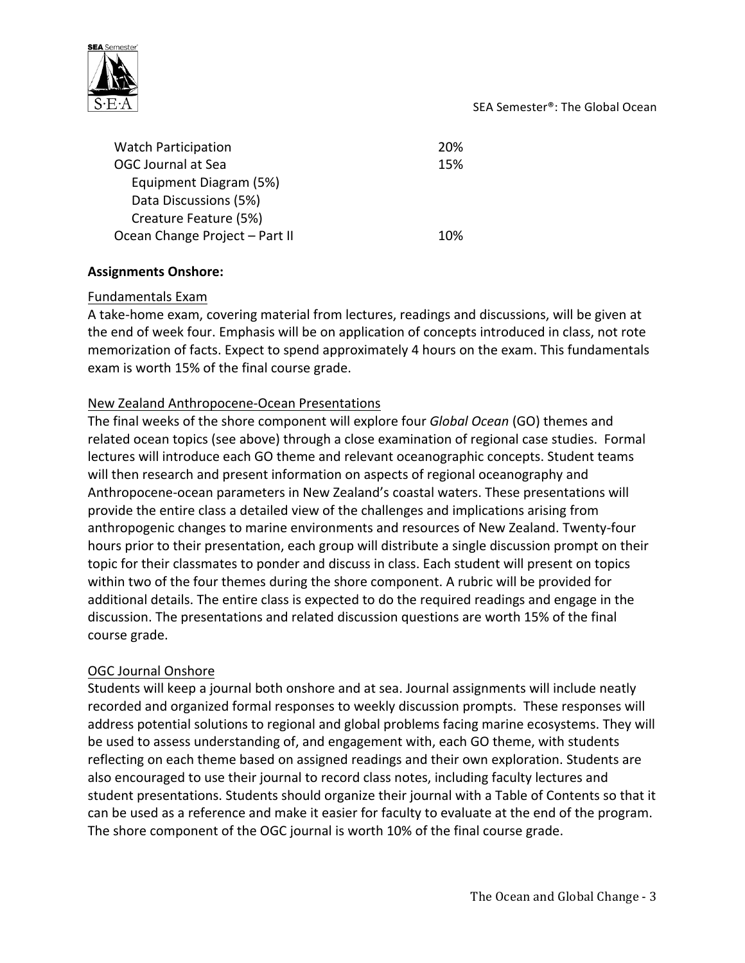#### SEA Semester<sup>®</sup>: The Global Ocean



Watch Participation 20% OGC Journal at Sea 15% Equipment Diagram (5%) Data Discussions (5%) Creature Feature (5%) Ocean Change Project – Part II 10%

### **Assignments Onshore:**

#### Fundamentals Exam

A take-home exam, covering material from lectures, readings and discussions, will be given at the end of week four. Emphasis will be on application of concepts introduced in class, not rote memorization of facts. Expect to spend approximately 4 hours on the exam. This fundamentals exam is worth 15% of the final course grade.

### New Zealand Anthropocene-Ocean Presentations

The final weeks of the shore component will explore four *Global Ocean* (GO) themes and related ocean topics (see above) through a close examination of regional case studies. Formal lectures will introduce each GO theme and relevant oceanographic concepts. Student teams will then research and present information on aspects of regional oceanography and Anthropocene-ocean parameters in New Zealand's coastal waters. These presentations will provide the entire class a detailed view of the challenges and implications arising from anthropogenic changes to marine environments and resources of New Zealand. Twenty-four hours prior to their presentation, each group will distribute a single discussion prompt on their topic for their classmates to ponder and discuss in class. Each student will present on topics within two of the four themes during the shore component. A rubric will be provided for additional details. The entire class is expected to do the required readings and engage in the discussion. The presentations and related discussion questions are worth 15% of the final course grade.

## OGC Journal Onshore

Students will keep a journal both onshore and at sea. Journal assignments will include neatly recorded and organized formal responses to weekly discussion prompts. These responses will address potential solutions to regional and global problems facing marine ecosystems. They will be used to assess understanding of, and engagement with, each GO theme, with students reflecting on each theme based on assigned readings and their own exploration. Students are also encouraged to use their journal to record class notes, including faculty lectures and student presentations. Students should organize their journal with a Table of Contents so that it can be used as a reference and make it easier for faculty to evaluate at the end of the program. The shore component of the OGC journal is worth 10% of the final course grade.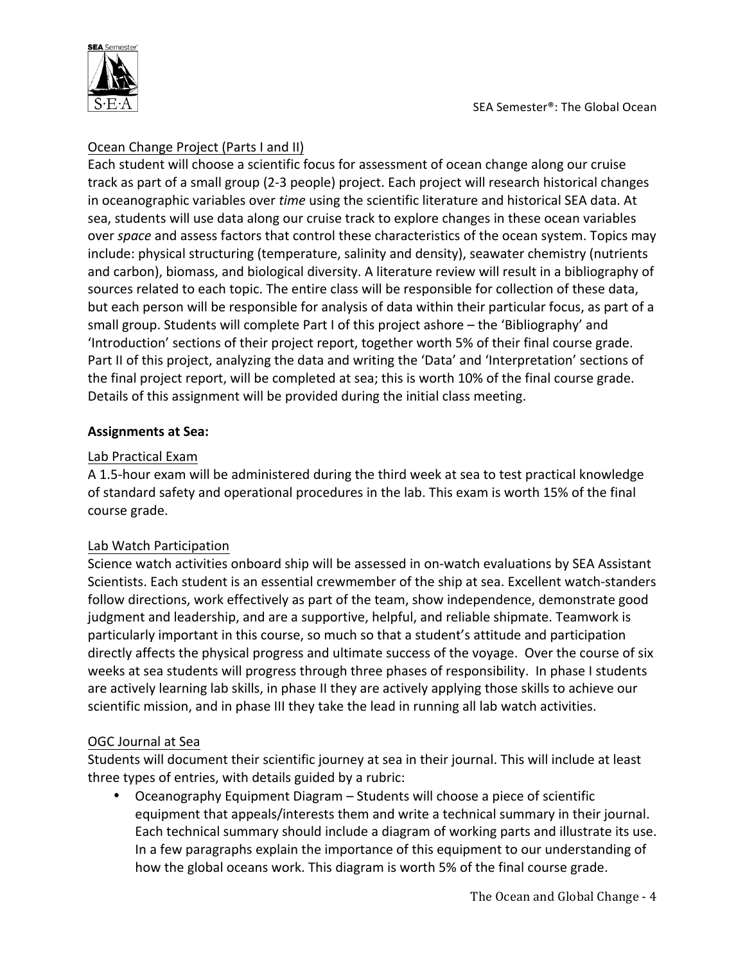

# Ocean Change Project (Parts I and II)

Each student will choose a scientific focus for assessment of ocean change along our cruise track as part of a small group (2-3 people) project. Each project will research historical changes in oceanographic variables over *time* using the scientific literature and historical SEA data. At sea, students will use data along our cruise track to explore changes in these ocean variables over *space* and assess factors that control these characteristics of the ocean system. Topics may include: physical structuring (temperature, salinity and density), seawater chemistry (nutrients and carbon), biomass, and biological diversity. A literature review will result in a bibliography of sources related to each topic. The entire class will be responsible for collection of these data, but each person will be responsible for analysis of data within their particular focus, as part of a small group. Students will complete Part I of this project ashore – the 'Bibliography' and 'Introduction' sections of their project report, together worth 5% of their final course grade. Part II of this project, analyzing the data and writing the 'Data' and 'Interpretation' sections of the final project report, will be completed at sea; this is worth 10% of the final course grade. Details of this assignment will be provided during the initial class meeting.

## **Assignments at Sea:**

## Lab Practical Exam

A 1.5-hour exam will be administered during the third week at sea to test practical knowledge of standard safety and operational procedures in the lab. This exam is worth 15% of the final course grade.

# Lab Watch Participation

Science watch activities onboard ship will be assessed in on-watch evaluations by SEA Assistant Scientists. Each student is an essential crewmember of the ship at sea. Excellent watch-standers follow directions, work effectively as part of the team, show independence, demonstrate good judgment and leadership, and are a supportive, helpful, and reliable shipmate. Teamwork is particularly important in this course, so much so that a student's attitude and participation directly affects the physical progress and ultimate success of the voyage. Over the course of six weeks at sea students will progress through three phases of responsibility. In phase I students are actively learning lab skills, in phase II they are actively applying those skills to achieve our scientific mission, and in phase III they take the lead in running all lab watch activities.

# OGC Journal at Sea

Students will document their scientific journey at sea in their journal. This will include at least three types of entries, with details guided by a rubric:

Oceanography Equipment Diagram – Students will choose a piece of scientific equipment that appeals/interests them and write a technical summary in their journal. Each technical summary should include a diagram of working parts and illustrate its use. In a few paragraphs explain the importance of this equipment to our understanding of how the global oceans work. This diagram is worth 5% of the final course grade.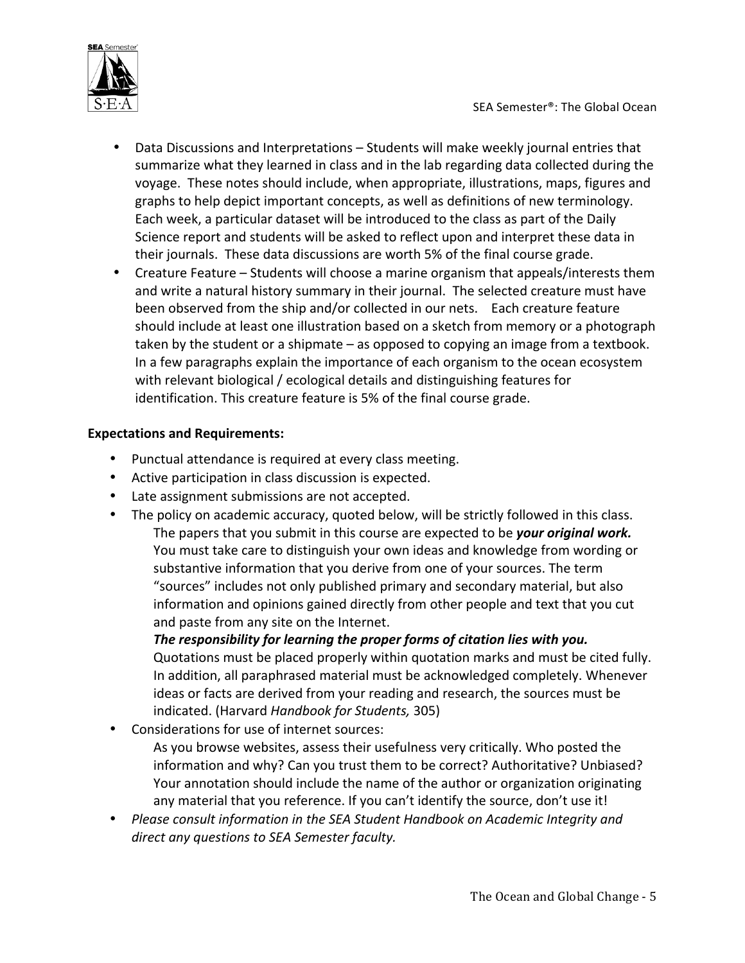

- Data Discussions and Interpretations Students will make weekly journal entries that summarize what they learned in class and in the lab regarding data collected during the voyage. These notes should include, when appropriate, illustrations, maps, figures and graphs to help depict important concepts, as well as definitions of new terminology. Each week, a particular dataset will be introduced to the class as part of the Daily Science report and students will be asked to reflect upon and interpret these data in their journals. These data discussions are worth 5% of the final course grade.
- Creature Feature Students will choose a marine organism that appeals/interests them and write a natural history summary in their journal. The selected creature must have been observed from the ship and/or collected in our nets. Each creature feature should include at least one illustration based on a sketch from memory or a photograph taken by the student or a shipmate  $-$  as opposed to copying an image from a textbook. In a few paragraphs explain the importance of each organism to the ocean ecosystem with relevant biological / ecological details and distinguishing features for identification. This creature feature is 5% of the final course grade.

## **Expectations and Requirements:**

- Punctual attendance is required at every class meeting.
- Active participation in class discussion is expected.
- Late assignment submissions are not accepted.
- The policy on academic accuracy, quoted below, will be strictly followed in this class. The papers that you submit in this course are expected to be *your original work.* You must take care to distinguish your own ideas and knowledge from wording or substantive information that you derive from one of your sources. The term "sources" includes not only published primary and secondary material, but also information and opinions gained directly from other people and text that you cut and paste from any site on the Internet.

The responsibility for learning the proper forms of citation lies with you. Quotations must be placed properly within quotation marks and must be cited fully. In addition, all paraphrased material must be acknowledged completely. Whenever ideas or facts are derived from your reading and research, the sources must be indicated. (Harvard *Handbook for Students,* 305)

• Considerations for use of internet sources:

As you browse websites, assess their usefulness very critically. Who posted the information and why? Can you trust them to be correct? Authoritative? Unbiased? Your annotation should include the name of the author or organization originating any material that you reference. If you can't identify the source, don't use it!

• Please consult information in the SEA Student Handbook on Academic Integrity and direct any questions to SEA Semester faculty.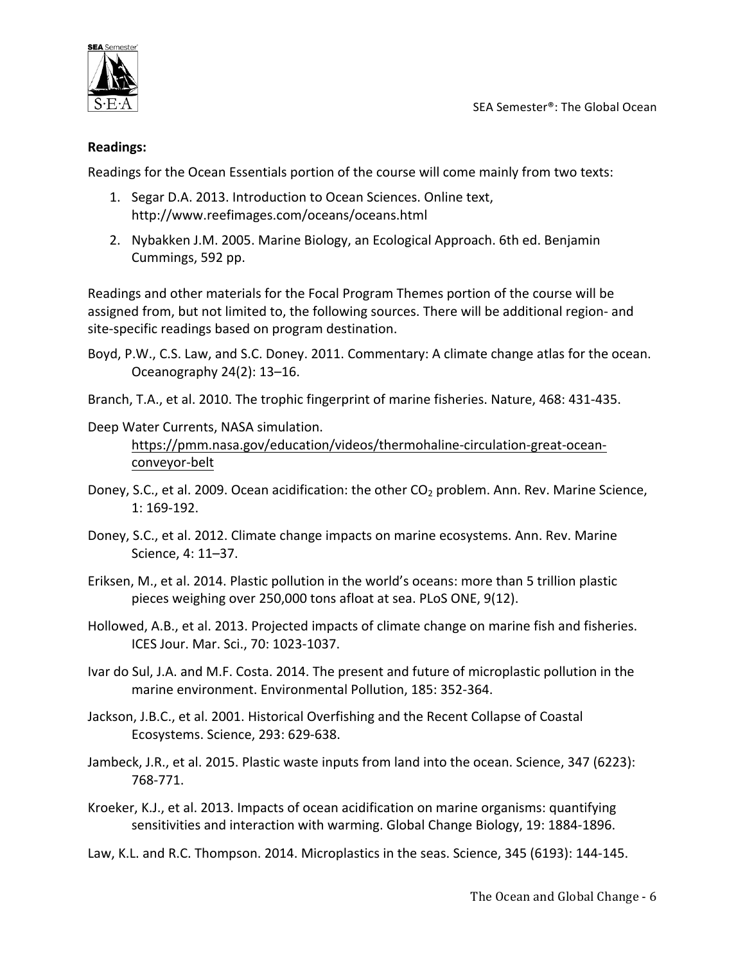

SEA Semester<sup>®</sup>: The Global Ocean

### **Readings:**

Readings for the Ocean Essentials portion of the course will come mainly from two texts:

- 1. Segar D.A. 2013. Introduction to Ocean Sciences. Online text, http://www.reefimages.com/oceans/oceans.html
- 2. Nybakken J.M. 2005. Marine Biology, an Ecological Approach. 6th ed. Benjamin Cummings, 592 pp.

Readings and other materials for the Focal Program Themes portion of the course will be assigned from, but not limited to, the following sources. There will be additional region- and site-specific readings based on program destination.

- Boyd, P.W., C.S. Law, and S.C. Doney. 2011. Commentary: A climate change atlas for the ocean. Oceanography 24(2): 13–16.
- Branch, T.A., et al. 2010. The trophic fingerprint of marine fisheries. Nature, 468: 431-435.
- Deep Water Currents, NASA simulation. https://pmm.nasa.gov/education/videos/thermohaline-circulation-great-oceanconveyor-belt
- Doney, S.C., et al. 2009. Ocean acidification: the other  $CO<sub>2</sub>$  problem. Ann. Rev. Marine Science, 1: 169-192.
- Doney, S.C., et al. 2012. Climate change impacts on marine ecosystems. Ann. Rev. Marine Science, 4: 11–37.
- Eriksen, M., et al. 2014. Plastic pollution in the world's oceans: more than 5 trillion plastic pieces weighing over 250,000 tons afloat at sea. PLoS ONE, 9(12).
- Hollowed, A.B., et al. 2013. Projected impacts of climate change on marine fish and fisheries. ICES Jour. Mar. Sci., 70: 1023-1037.
- Ivar do Sul, J.A. and M.F. Costa. 2014. The present and future of microplastic pollution in the marine environment. Environmental Pollution, 185: 352-364.
- Jackson, J.B.C., et al. 2001. Historical Overfishing and the Recent Collapse of Coastal Ecosystems. Science, 293: 629-638.
- Jambeck, J.R., et al. 2015. Plastic waste inputs from land into the ocean. Science, 347 (6223): 768-771.
- Kroeker, K.J., et al. 2013. Impacts of ocean acidification on marine organisms: quantifying sensitivities and interaction with warming. Global Change Biology, 19: 1884-1896.

Law, K.L. and R.C. Thompson. 2014. Microplastics in the seas. Science, 345 (6193): 144-145.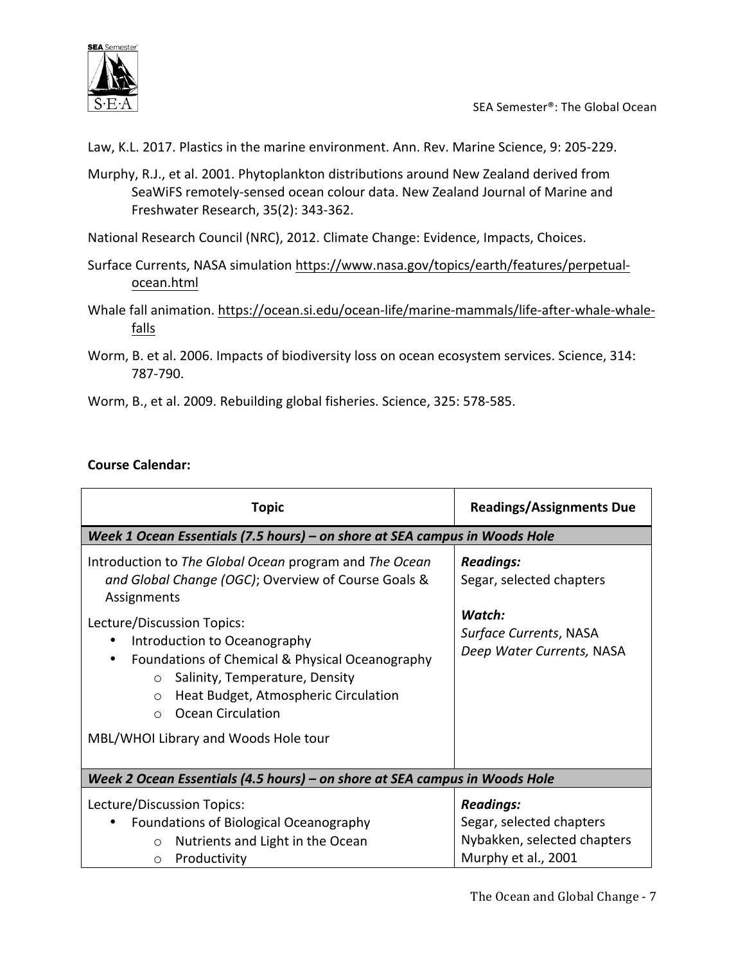

SEA Semester®: The Global Ocean

Law, K.L. 2017. Plastics in the marine environment. Ann. Rev. Marine Science, 9: 205-229.

Murphy, R.J., et al. 2001. Phytoplankton distributions around New Zealand derived from SeaWiFS remotely-sensed ocean colour data. New Zealand Journal of Marine and Freshwater Research, 35(2): 343-362.

National Research Council (NRC), 2012. Climate Change: Evidence, Impacts, Choices.

- Surface Currents, NASA simulation https://www.nasa.gov/topics/earth/features/perpetualocean.html
- Whale fall animation. https://ocean.si.edu/ocean-life/marine-mammals/life-after-whale-whalefalls
- Worm, B. et al. 2006. Impacts of biodiversity loss on ocean ecosystem services. Science, 314: 787-790.
- Worm, B., et al. 2009. Rebuilding global fisheries. Science, 325: 578-585.

# **Course Calendar:**

| <b>Topic</b>                                                                                                                                                                                                                                                                                                                                                                                                                       | <b>Readings/Assignments Due</b>                                                                               |  |
|------------------------------------------------------------------------------------------------------------------------------------------------------------------------------------------------------------------------------------------------------------------------------------------------------------------------------------------------------------------------------------------------------------------------------------|---------------------------------------------------------------------------------------------------------------|--|
| Week 1 Ocean Essentials (7.5 hours) – on shore at SEA campus in Woods Hole                                                                                                                                                                                                                                                                                                                                                         |                                                                                                               |  |
| Introduction to The Global Ocean program and The Ocean<br>and Global Change (OGC); Overview of Course Goals &<br>Assignments<br>Lecture/Discussion Topics:<br>Introduction to Oceanography<br>Foundations of Chemical & Physical Oceanography<br>٠<br>Salinity, Temperature, Density<br>$\circ$<br>Heat Budget, Atmospheric Circulation<br>$\circ$<br><b>Ocean Circulation</b><br>$\Omega$<br>MBL/WHOI Library and Woods Hole tour | <b>Readings:</b><br>Segar, selected chapters<br>Watch:<br>Surface Currents, NASA<br>Deep Water Currents, NASA |  |
| Week 2 Ocean Essentials (4.5 hours) – on shore at SEA campus in Woods Hole                                                                                                                                                                                                                                                                                                                                                         |                                                                                                               |  |
| Lecture/Discussion Topics:<br>Foundations of Biological Oceanography<br>Nutrients and Light in the Ocean<br>$\circ$<br>Productivity<br>$\circ$                                                                                                                                                                                                                                                                                     | <b>Readings:</b><br>Segar, selected chapters<br>Nybakken, selected chapters<br>Murphy et al., 2001            |  |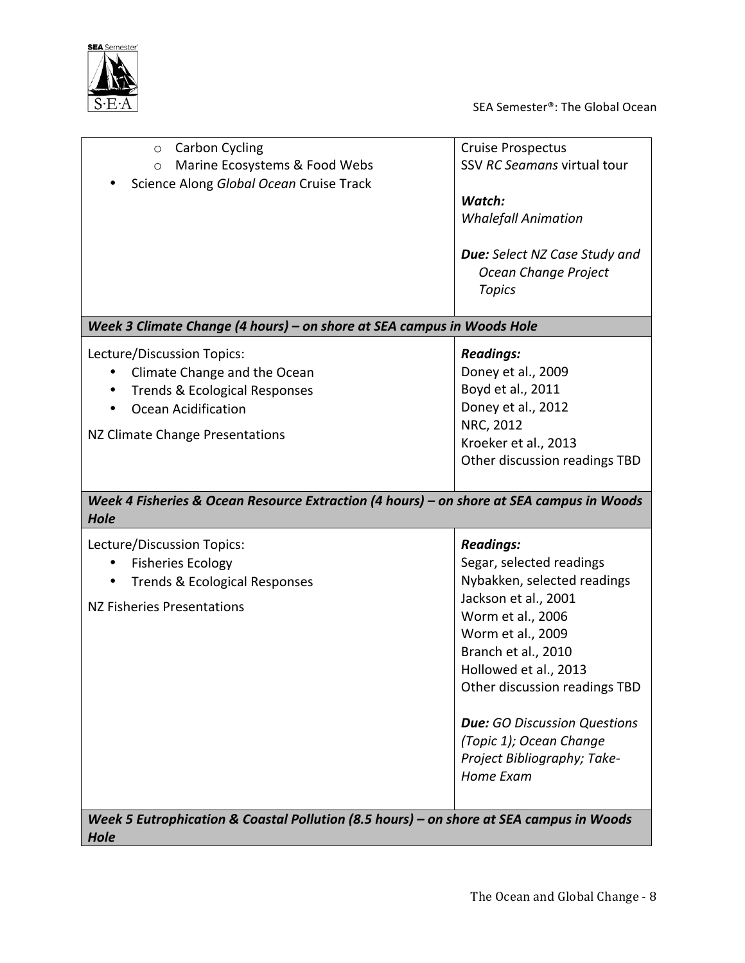

SEA Semester®: The Global Ocean

| <b>Carbon Cycling</b><br>$\circ$<br>Marine Ecosystems & Food Webs<br>$\circ$<br>Science Along Global Ocean Cruise Track                                          | <b>Cruise Prospectus</b><br>SSV RC Seamans virtual tour<br>Watch:<br><b>Whalefall Animation</b><br><b>Due:</b> Select NZ Case Study and<br>Ocean Change Project<br><b>Topics</b>                                                                                                                                                             |
|------------------------------------------------------------------------------------------------------------------------------------------------------------------|----------------------------------------------------------------------------------------------------------------------------------------------------------------------------------------------------------------------------------------------------------------------------------------------------------------------------------------------|
| Week 3 Climate Change (4 hours) - on shore at SEA campus in Woods Hole                                                                                           |                                                                                                                                                                                                                                                                                                                                              |
| Lecture/Discussion Topics:<br>Climate Change and the Ocean<br><b>Trends &amp; Ecological Responses</b><br>Ocean Acidification<br>NZ Climate Change Presentations | <b>Readings:</b><br>Doney et al., 2009<br>Boyd et al., 2011<br>Doney et al., 2012<br>NRC, 2012<br>Kroeker et al., 2013<br>Other discussion readings TBD                                                                                                                                                                                      |
| Week 4 Fisheries & Ocean Resource Extraction (4 hours) - on shore at SEA campus in Woods<br>Hole                                                                 |                                                                                                                                                                                                                                                                                                                                              |
| Lecture/Discussion Topics:<br><b>Fisheries Ecology</b><br>Trends & Ecological Responses<br>$\bullet$<br>NZ Fisheries Presentations                               | <b>Readings:</b><br>Segar, selected readings<br>Nybakken, selected readings<br>Jackson et al., 2001<br>Worm et al., 2006<br>Worm et al., 2009<br>Branch et al., 2010<br>Hollowed et al., 2013<br>Other discussion readings TBD<br><b>Due:</b> GO Discussion Questions<br>(Topic 1); Ocean Change<br>Project Bibliography; Take-<br>Home Exam |
| Week 5 Eutrophication & Coastal Pollution (8.5 hours) - on shore at SEA campus in Woods<br>Hole                                                                  |                                                                                                                                                                                                                                                                                                                                              |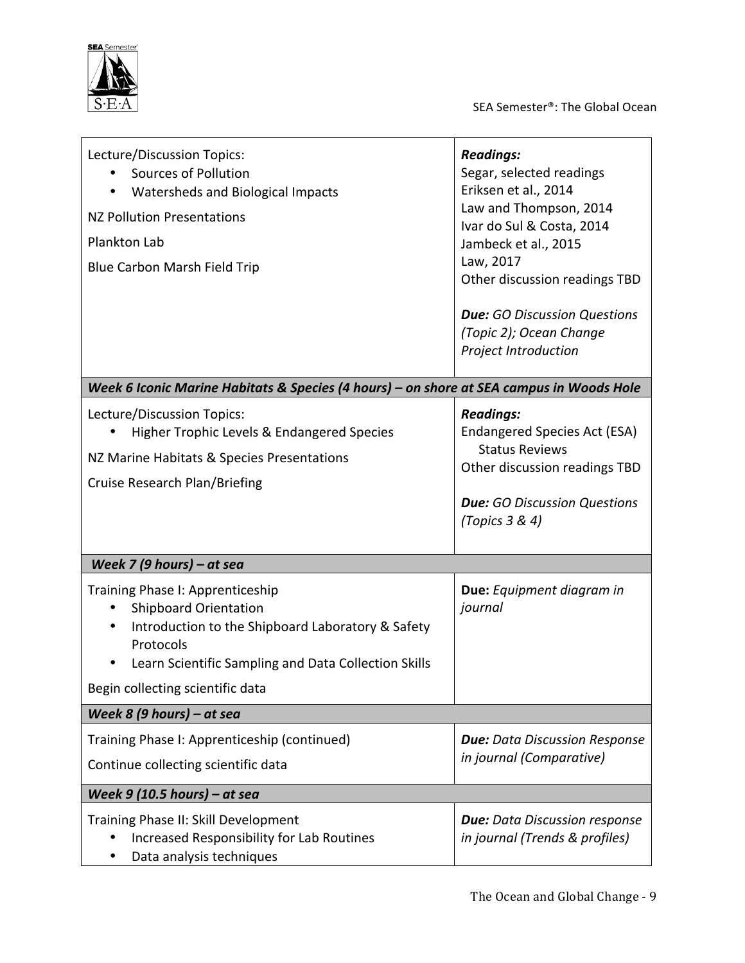

SEA Semester®: The Global Ocean

| Lecture/Discussion Topics:<br>Sources of Pollution<br>Watersheds and Biological Impacts<br><b>NZ Pollution Presentations</b><br><b>Plankton Lab</b><br>Blue Carbon Marsh Field Trip                                            | <b>Readings:</b><br>Segar, selected readings<br>Eriksen et al., 2014<br>Law and Thompson, 2014<br>Ivar do Sul & Costa, 2014<br>Jambeck et al., 2015<br>Law, 2017<br>Other discussion readings TBD<br><b>Due:</b> GO Discussion Questions<br>(Topic 2); Ocean Change |  |
|--------------------------------------------------------------------------------------------------------------------------------------------------------------------------------------------------------------------------------|---------------------------------------------------------------------------------------------------------------------------------------------------------------------------------------------------------------------------------------------------------------------|--|
|                                                                                                                                                                                                                                | Project Introduction                                                                                                                                                                                                                                                |  |
| Week 6 Iconic Marine Habitats & Species (4 hours) - on shore at SEA campus in Woods Hole                                                                                                                                       |                                                                                                                                                                                                                                                                     |  |
| Lecture/Discussion Topics:<br>Higher Trophic Levels & Endangered Species<br>NZ Marine Habitats & Species Presentations<br><b>Cruise Research Plan/Briefing</b>                                                                 | <b>Readings:</b><br>Endangered Species Act (ESA)<br><b>Status Reviews</b><br>Other discussion readings TBD<br><b>Due:</b> GO Discussion Questions<br>(Topics $3 & 4$ )                                                                                              |  |
|                                                                                                                                                                                                                                |                                                                                                                                                                                                                                                                     |  |
| Week 7 (9 hours) – at sea                                                                                                                                                                                                      |                                                                                                                                                                                                                                                                     |  |
| Training Phase I: Apprenticeship<br><b>Shipboard Orientation</b><br>Introduction to the Shipboard Laboratory & Safety<br>Protocols<br>Learn Scientific Sampling and Data Collection Skills<br>Begin collecting scientific data | Due: Equipment diagram in<br>journal                                                                                                                                                                                                                                |  |
| Week 8 (9 hours) – at sea                                                                                                                                                                                                      |                                                                                                                                                                                                                                                                     |  |
| Training Phase I: Apprenticeship (continued)                                                                                                                                                                                   | <b>Due:</b> Data Discussion Response                                                                                                                                                                                                                                |  |
| Continue collecting scientific data                                                                                                                                                                                            | in journal (Comparative)                                                                                                                                                                                                                                            |  |
|                                                                                                                                                                                                                                |                                                                                                                                                                                                                                                                     |  |
| Week $9$ (10.5 hours) – at sea                                                                                                                                                                                                 |                                                                                                                                                                                                                                                                     |  |
| Training Phase II: Skill Development<br>Increased Responsibility for Lab Routines<br>Data analysis techniques                                                                                                                  | <b>Due:</b> Data Discussion response<br>in journal (Trends & profiles)                                                                                                                                                                                              |  |